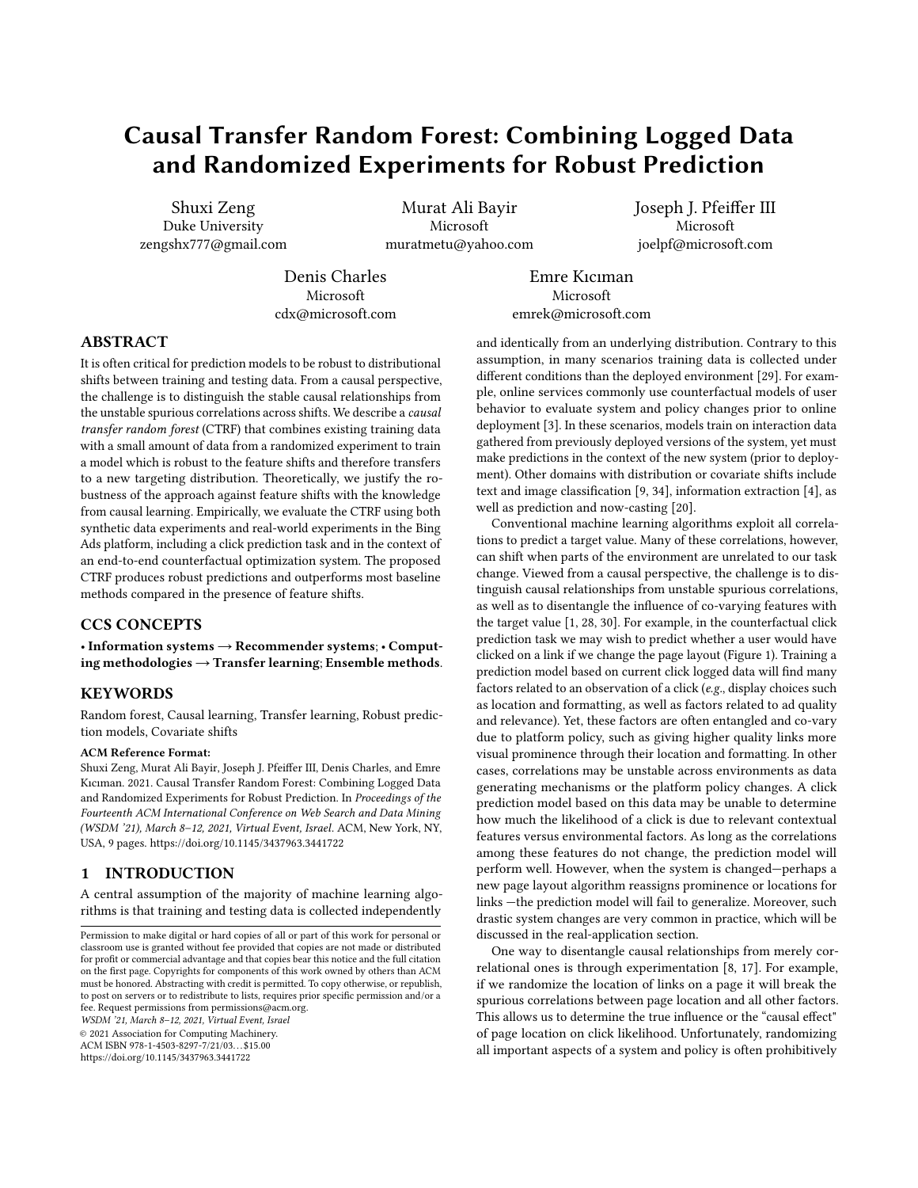# Causal Transfer Random Forest: Combining Logged Data and Randomized Experiments for Robust Prediction

Shuxi Zeng Duke University zengshx777@gmail.com

Murat Ali Bayir Microsoft muratmetu@yahoo.com Joseph J. Pfeiffer III Microsoft joelpf@microsoft.com

Denis Charles Microsoft cdx@microsoft.com

Emre Kıcıman Microsoft emrek@microsoft.com

# ABSTRACT

It is often critical for prediction models to be robust to distributional shifts between training and testing data. From a causal perspective, the challenge is to distinguish the stable causal relationships from the unstable spurious correlations across shifts. We describe a causal transfer random forest (CTRF) that combines existing training data with a small amount of data from a randomized experiment to train a model which is robust to the feature shifts and therefore transfers to a new targeting distribution. Theoretically, we justify the robustness of the approach against feature shifts with the knowledge from causal learning. Empirically, we evaluate the CTRF using both synthetic data experiments and real-world experiments in the Bing Ads platform, including a click prediction task and in the context of an end-to-end counterfactual optimization system. The proposed CTRF produces robust predictions and outperforms most baseline methods compared in the presence of feature shifts.

# CCS CONCEPTS

• Information systems  $\rightarrow$  Recommender systems; • Computing methodologies  $\rightarrow$  Transfer learning; Ensemble methods.

# **KEYWORDS**

Random forest, Causal learning, Transfer learning, Robust prediction models, Covariate shifts

#### ACM Reference Format:

Shuxi Zeng, Murat Ali Bayir, Joseph J. Pfeiffer III, Denis Charles, and Emre Kıcıman. 2021. Causal Transfer Random Forest: Combining Logged Data and Randomized Experiments for Robust Prediction. In Proceedings of the Fourteenth ACM International Conference on Web Search and Data Mining (WSDM '21), March 8–12, 2021, Virtual Event, Israel. ACM, New York, NY, USA, [9](#page-8-0) pages.<https://doi.org/10.1145/3437963.3441722>

# 1 INTRODUCTION

A central assumption of the majority of machine learning algorithms is that training and testing data is collected independently

WSDM '21, March 8–12, 2021, Virtual Event, Israel

© 2021 Association for Computing Machinery.

ACM ISBN 978-1-4503-8297-7/21/03. . . \$15.00 <https://doi.org/10.1145/3437963.3441722>

and identically from an underlying distribution. Contrary to this assumption, in many scenarios training data is collected under different conditions than the deployed environment [\[29\]](#page-8-1). For example, online services commonly use counterfactual models of user behavior to evaluate system and policy changes prior to online deployment [\[3\]](#page-8-2). In these scenarios, models train on interaction data gathered from previously deployed versions of the system, yet must make predictions in the context of the new system (prior to deployment). Other domains with distribution or covariate shifts include text and image classification [\[9,](#page-8-3) [34\]](#page-8-4), information extraction [\[4\]](#page-8-5), as well as prediction and now-casting [\[20\]](#page-8-6).

Conventional machine learning algorithms exploit all correlations to predict a target value. Many of these correlations, however, can shift when parts of the environment are unrelated to our task change. Viewed from a causal perspective, the challenge is to distinguish causal relationships from unstable spurious correlations, as well as to disentangle the influence of co-varying features with the target value [\[1,](#page-8-7) [28,](#page-8-8) [30\]](#page-8-9). For example, in the counterfactual click prediction task we may wish to predict whether a user would have clicked on a link if we change the page layout (Figure [1\)](#page-1-0). Training a prediction model based on current click logged data will find many factors related to an observation of a click (e.g., display choices such as location and formatting, as well as factors related to ad quality and relevance). Yet, these factors are often entangled and co-vary due to platform policy, such as giving higher quality links more visual prominence through their location and formatting. In other cases, correlations may be unstable across environments as data generating mechanisms or the platform policy changes. A click prediction model based on this data may be unable to determine how much the likelihood of a click is due to relevant contextual features versus environmental factors. As long as the correlations among these features do not change, the prediction model will perform well. However, when the system is changed—perhaps a new page layout algorithm reassigns prominence or locations for links —the prediction model will fail to generalize. Moreover, such drastic system changes are very common in practice, which will be discussed in the real-application section.

One way to disentangle causal relationships from merely correlational ones is through experimentation [\[8,](#page-8-10) [17\]](#page-8-11). For example, if we randomize the location of links on a page it will break the spurious correlations between page location and all other factors. This allows us to determine the true influence or the "causal effect" of page location on click likelihood. Unfortunately, randomizing all important aspects of a system and policy is often prohibitively

Permission to make digital or hard copies of all or part of this work for personal or classroom use is granted without fee provided that copies are not made or distributed for profit or commercial advantage and that copies bear this notice and the full citation on the first page. Copyrights for components of this work owned by others than ACM must be honored. Abstracting with credit is permitted. To copy otherwise, or republish, to post on servers or to redistribute to lists, requires prior specific permission and/or a fee. Request permissions from permissions@acm.org.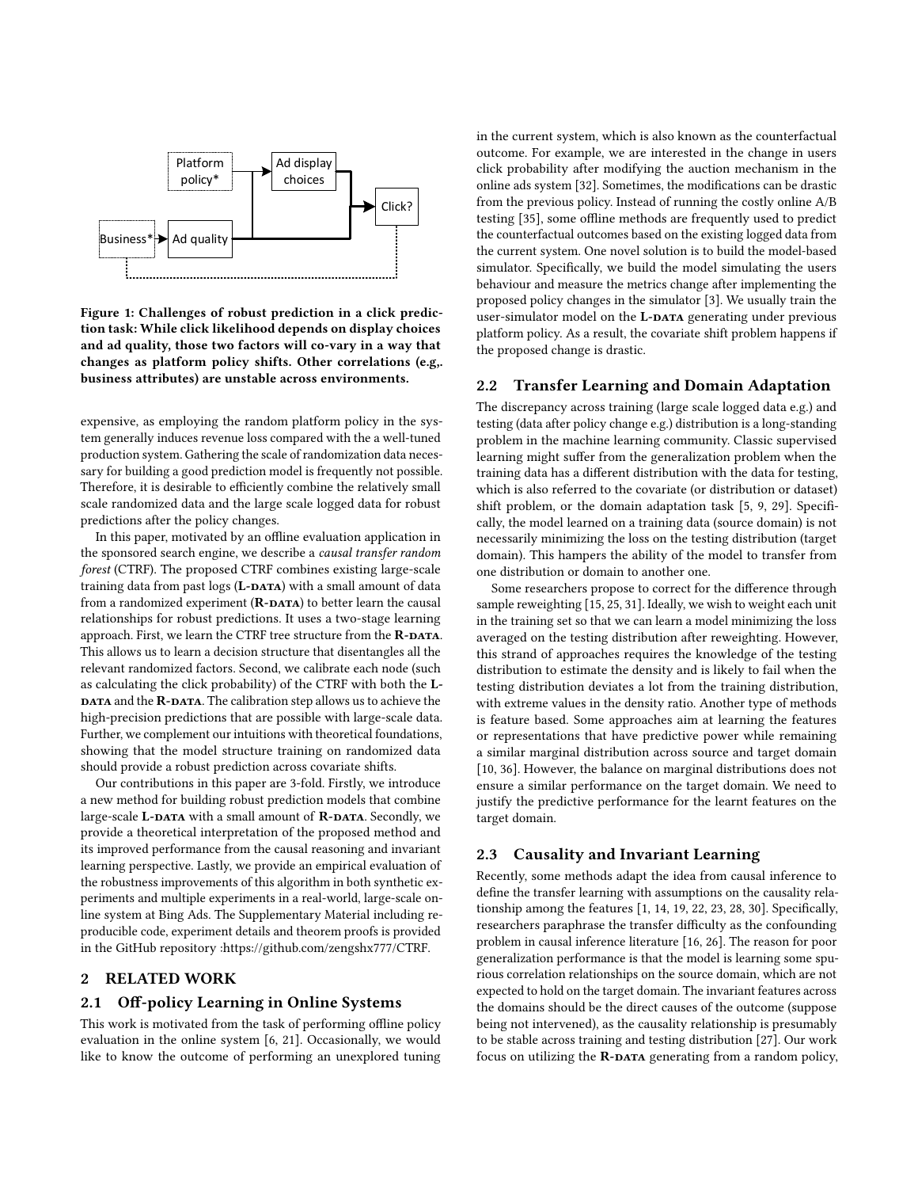<span id="page-1-0"></span>

Figure 1: Challenges of robust prediction in a click prediction task: While click likelihood depends on display choices and ad quality, those two factors will co-vary in a way that changes as platform policy shifts. Other correlations (e.g,. business attributes) are unstable across environments.

expensive, as employing the random platform policy in the system generally induces revenue loss compared with the a well-tuned production system. Gathering the scale of randomization data necessary for building a good prediction model is frequently not possible. Therefore, it is desirable to efficiently combine the relatively small scale randomized data and the large scale logged data for robust predictions after the policy changes.

In this paper, motivated by an offline evaluation application in the sponsored search engine, we describe a causal transfer random forest (CTRF). The proposed CTRF combines existing large-scale training data from past  $\log s$  (L-DATA) with a small amount of data from a randomized experiment  $(R$ -DATA) to better learn the causal relationships for robust predictions. It uses a two-stage learning approach. First, we learn the CTRF tree structure from the R-DATA. This allows us to learn a decision structure that disentangles all the relevant randomized factors. Second, we calibrate each node (such as calculating the click probability) of the CTRF with both the L-DATA and the R-DATA. The calibration step allows us to achieve the high-precision predictions that are possible with large-scale data. Further, we complement our intuitions with theoretical foundations, showing that the model structure training on randomized data should provide a robust prediction across covariate shifts.

Our contributions in this paper are 3-fold. Firstly, we introduce a new method for building robust prediction models that combine large-scale L-DATA with a small amount of R-DATA. Secondly, we provide a theoretical interpretation of the proposed method and its improved performance from the causal reasoning and invariant learning perspective. Lastly, we provide an empirical evaluation of the robustness improvements of this algorithm in both synthetic experiments and multiple experiments in a real-world, large-scale online system at Bing Ads. The Supplementary Material including reproducible code, experiment details and theorem proofs is provided in the GitHub repository [:https://github.com/zengshx777/CTRF.](https://github.com/zengshx777/CTRF)

# 2 RELATED WORK

#### 2.1 Off-policy Learning in Online Systems

This work is motivated from the task of performing offline policy evaluation in the online system [\[6,](#page-8-12) [21\]](#page-8-13). Occasionally, we would like to know the outcome of performing an unexplored tuning in the current system, which is also known as the counterfactual outcome. For example, we are interested in the change in users click probability after modifying the auction mechanism in the online ads system [\[32\]](#page-8-14). Sometimes, the modifications can be drastic from the previous policy. Instead of running the costly online A/B testing [\[35\]](#page-8-15), some offline methods are frequently used to predict the counterfactual outcomes based on the existing logged data from the current system. One novel solution is to build the model-based simulator. Specifically, we build the model simulating the users behaviour and measure the metrics change after implementing the proposed policy changes in the simulator [\[3\]](#page-8-2). We usually train the user-simulator model on the L-DATA generating under previous platform policy. As a result, the covariate shift problem happens if the proposed change is drastic.

#### 2.2 Transfer Learning and Domain Adaptation

The discrepancy across training (large scale logged data e.g.) and testing (data after policy change e.g.) distribution is a long-standing problem in the machine learning community. Classic supervised learning might suffer from the generalization problem when the training data has a different distribution with the data for testing, which is also referred to the covariate (or distribution or dataset) shift problem, or the domain adaptation task [\[5,](#page-8-16) [9,](#page-8-3) [29\]](#page-8-1). Specifically, the model learned on a training data (source domain) is not necessarily minimizing the loss on the testing distribution (target domain). This hampers the ability of the model to transfer from one distribution or domain to another one.

Some researchers propose to correct for the difference through sample reweighting [\[15,](#page-8-17) [25,](#page-8-18) [31\]](#page-8-19). Ideally, we wish to weight each unit in the training set so that we can learn a model minimizing the loss averaged on the testing distribution after reweighting. However, this strand of approaches requires the knowledge of the testing distribution to estimate the density and is likely to fail when the testing distribution deviates a lot from the training distribution, with extreme values in the density ratio. Another type of methods is feature based. Some approaches aim at learning the features or representations that have predictive power while remaining a similar marginal distribution across source and target domain [\[10,](#page-8-20) [36\]](#page-8-21). However, the balance on marginal distributions does not ensure a similar performance on the target domain. We need to justify the predictive performance for the learnt features on the target domain.

#### 2.3 Causality and Invariant Learning

Recently, some methods adapt the idea from causal inference to define the transfer learning with assumptions on the causality relationship among the features [\[1,](#page-8-7) [14,](#page-8-22) [19,](#page-8-23) [22,](#page-8-24) [23,](#page-8-25) [28,](#page-8-8) [30\]](#page-8-9). Specifically, researchers paraphrase the transfer difficulty as the confounding problem in causal inference literature [\[16,](#page-8-26) [26\]](#page-8-27). The reason for poor generalization performance is that the model is learning some spurious correlation relationships on the source domain, which are not expected to hold on the target domain. The invariant features across the domains should be the direct causes of the outcome (suppose being not intervened), as the causality relationship is presumably to be stable across training and testing distribution [\[27\]](#page-8-28). Our work focus on utilizing the  $R$ -DATA generating from a random policy,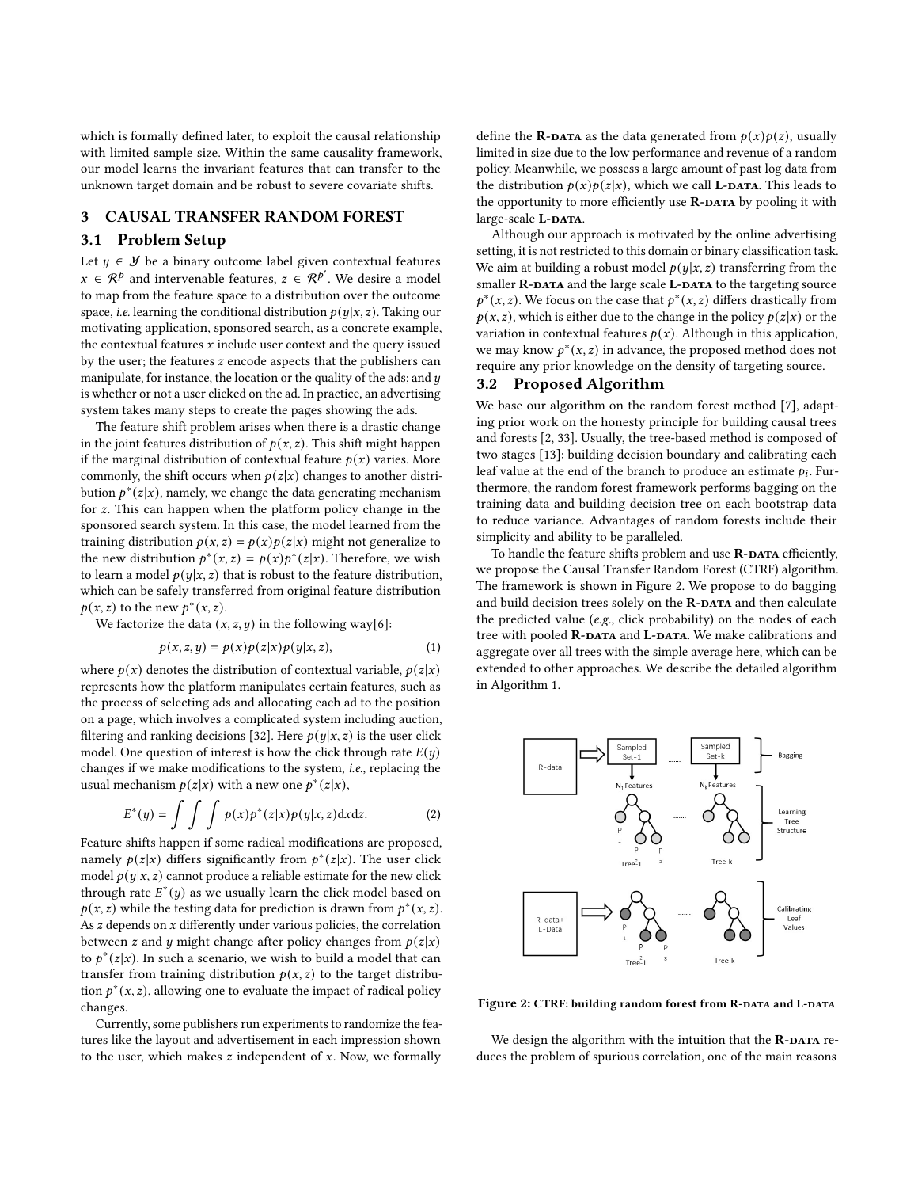which is formally defined later, to exploit the causal relationship with limited sample size. Within the same causality framework, our model learns the invariant features that can transfer to the unknown target domain and be robust to severe covariate shifts.

#### 3 CAUSAL TRANSFER RANDOM FOREST

## 3.1 Problem Setup

Let  $y \in \mathcal{Y}$  be a binary outcome label given contextual features  $x \in \mathcal{R}^p$  and intervenable features,  $z \in \mathcal{R}^{p'}$ . We desire a model to map from the feature space to a distribution over the outcome space, *i.e.* learning the conditional distribution  $p(y|x, z)$ . Taking our motivating application, sponsored search, as a concrete example, the contextual features  $x$  include user context and the query issued by the user; the features  $z$  encode aspects that the publishers can manipulate, for instance, the location or the quality of the ads; and  $y$ is whether or not a user clicked on the ad. In practice, an advertising system takes many steps to create the pages showing the ads.

The feature shift problem arises when there is a drastic change in the joint features distribution of  $p(x, z)$ . This shift might happen if the marginal distribution of contextual feature  $p(x)$  varies. More commonly, the shift occurs when  $p(z|x)$  changes to another distribution  $p^*(z|x)$ , namely, we change the data generating mechanism for  $z$ . This can happen when the platform policy change in the sponsored search system. In this case, the model learned from the training distribution  $p(x, z) = p(x)p(z|x)$  might not generalize to the new distribution  $p^*(x, z) = p(x)p^*(z|x)$ . Therefore, we wish to learn a model  $p(y|x, z)$  that is robust to the feature distribution, which can be safely transferred from original feature distribution  $p(x, z)$  to the new  $p^*(x, z)$ .

We factorize the data  $(x, z, y)$  in the following way[\[6\]](#page-8-12):

$$
p(x, z, y) = p(x)p(z|x)p(y|x, z),
$$
\n(1)

where  $p(x)$  denotes the distribution of contextual variable,  $p(z|x)$ represents how the platform manipulates certain features, such as the process of selecting ads and allocating each ad to the position on a page, which involves a complicated system including auction, filtering and ranking decisions [\[32\]](#page-8-14). Here  $p(y|x, z)$  is the user click model. One question of interest is how the click through rate  $E(y)$ changes if we make modifications to the system, i.e., replacing the usual mechanism  $p(z|x)$  with a new one  $p^*(z|x)$ ,

$$
E^*(y) = \int \int \int p(x)p^*(z|x)p(y|x,z) \, dx \, dz. \tag{2}
$$

Feature shifts happen if some radical modifications are proposed, namely  $p(z|x)$  differs significantly from  $p^*(z|x)$ . The user click model  $p(y|x, z)$  cannot produce a reliable estimate for the new click through rate  $E^*(y)$  as we usually learn the click model based on  $p(x, z)$  while the testing data for prediction is drawn from  $p^*(x, z)$ . As  $z$  depends on  $x$  differently under various policies, the correlation between z and y might change after policy changes from  $p(z|x)$ to  $p^*(z|x)$ . In such a scenario, we wish to build a model that can transfer from training distribution  $p(x, z)$  to the target distribution  $p^*(x, z)$ , allowing one to evaluate the impact of radical policy changes.

Currently, some publishers run experiments to randomize the features like the layout and advertisement in each impression shown to the user, which makes  $z$  independent of  $x$ . Now, we formally

define the **R-DATA** as the data generated from  $p(x)p(z)$ , usually limited in size due to the low performance and revenue of a random policy. Meanwhile, we possess a large amount of past log data from the distribution  $p(x)p(z|x)$ , which we call **L-DATA**. This leads to the opportunity to more efficiently use  $\mathbf{R}\text{-}\mathbf{DATA}$  by pooling it with large-scale L-DATA.

Although our approach is motivated by the online advertising setting, it is not restricted to this domain or binary classification task. We aim at building a robust model  $p(y|x, z)$  transferring from the smaller R-DATA and the large scale L-DATA to the targeting source  $p^*(x, z)$ . We focus on the case that  $p^*(x, z)$  differs drastically from  $p(x, z)$ , which is either due to the change in the policy  $p(z|x)$  or the variation in contextual features  $p(x)$ . Although in this application, we may know  $p^*(x, z)$  in advance, the proposed method does not require any prior knowledge on the density of targeting source.

#### 3.2 Proposed Algorithm

We base our algorithm on the random forest method [\[7\]](#page-8-29), adapting prior work on the honesty principle for building causal trees and forests [\[2,](#page-8-30) [33\]](#page-8-31). Usually, the tree-based method is composed of two stages [\[13\]](#page-8-32): building decision boundary and calibrating each leaf value at the end of the branch to produce an estimate  $p_i$ . Furthermore, the random forest framework performs bagging on the training data and building decision tree on each bootstrap data to reduce variance. Advantages of random forests include their simplicity and ability to be paralleled.

To handle the feature shifts problem and use  $R$ -DATA efficiently, we propose the Causal Transfer Random Forest (CTRF) algorithm. The framework is shown in Figure [2.](#page-2-0) We propose to do bagging and build decision trees solely on the  $R$ -DATA and then calculate the predicted value (e.g., click probability) on the nodes of each tree with pooled R-DATA and L-DATA. We make calibrations and aggregate over all trees with the simple average here, which can be extended to other approaches. We describe the detailed algorithm in Algorithm [1.](#page-3-0)

<span id="page-2-0"></span>

Figure 2: CTRF: building random forest from R-DATA and L-DATA

We design the algorithm with the intuition that the  $\mathbf{R}\text{-}\mathbf{DATA}$  reduces the problem of spurious correlation, one of the main reasons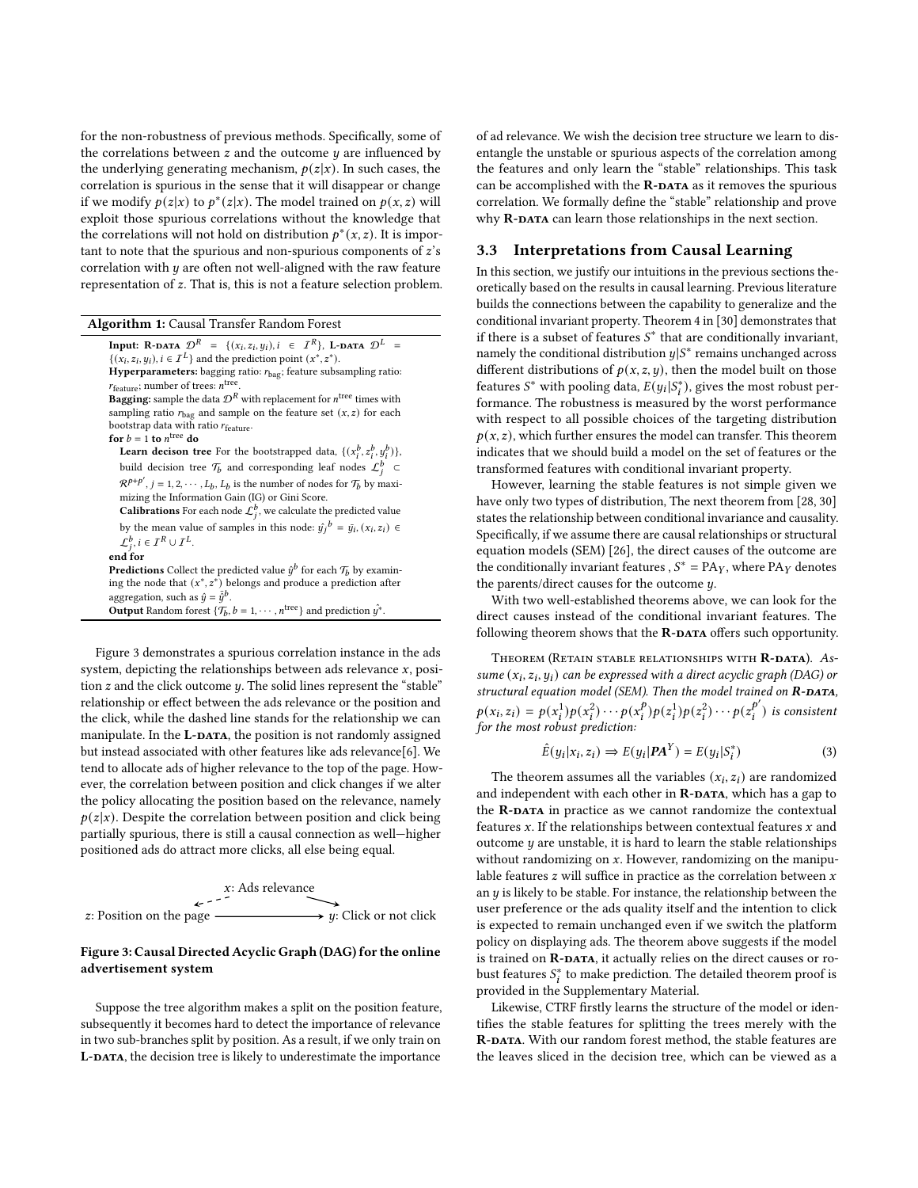for the non-robustness of previous methods. Specifically, some of the correlations between  $z$  and the outcome  $y$  are influenced by the underlying generating mechanism,  $p(z|x)$ . In such cases, the correlation is spurious in the sense that it will disappear or change if we modify  $p(z|x)$  to  $p^*(z|x)$ . The model trained on  $p(x, z)$  will exploit those spurious correlations without the knowledge that the correlations will not hold on distribution  $p^*(x, z)$ . It is important to note that the spurious and non-spurious components of  $z$ 's correlation with  $y$  are often not well-aligned with the raw feature representation of  $z$ . That is, this is not a feature selection problem.

| <b>Algorithm 1:</b> Causal Transfer Random Forest |  |  |  |
|---------------------------------------------------|--|--|--|
|                                                   |  |  |  |

<span id="page-3-0"></span>**Input:** R-DATA  $\mathcal{D}^R = \{(x_i, z_i, y_i), i \in I^R\}$ , L-DATA  $\mathcal{D}^L =$  $\{(x_i, z_i, y_i), i \in I^L\}$  and the prediction point  $(x^*, z^*)$ . Hyperparameters: bagging ratio:  $r_{\text{bag}}$ ; feature subsampling ratio:  $r_{\text{feature}}$ ; number of trees:  $n^{\text{tree}}$ . **Bagging:** sample the data  $\mathcal{D}^R$  with replacement for  $n^{\text{tree}}$  times with sampling ratio  $r_{\text{bar}}$  and sample on the feature set  $(x, z)$  for each bootstrap data with ratio r<sub>feature</sub>. for  $b = 1$  to  $n^{\text{tree}}$  do **Learn decison tree** For the bootstrapped data,  $\{(x_i^b, z_i^b, y_i^b)\},\$ build decision tree  $\mathcal{T}_b$  and corresponding leaf nodes  $\mathcal{L}_i^b$   $\subset$  $\mathcal{R}^{p+p'}$ ,  $j = 1, 2, \cdots, L_b, L_b$  is the number of nodes for  $\mathcal{T}_b$  by maximizing the Information Gain (IG) or Gini Score. Calibrations For each node  $\mathcal{L}_j^b$ , we calculate the predicted value by the mean value of samples in this node:  $\hat{y}_i^b = \bar{y}_i, (x_i, z_i) \in$  $\mathcal{L}_i^b, i \in \mathcal{I}^R \cup \mathcal{I}^L.$ end for **Predictions** Collect the predicted value  $\hat{y}^b$  for each  $\mathcal{T}_b$  by examining the node that  $(x^*, z^*)$  belongs and produce a prediction after aggregation, such as  $\hat{y} = \bar{\hat{y}}^b$ . **Output** Random forest  $\{\mathcal{T}_b, b = 1, \cdots, n^{\text{tree}}\}$  and prediction  $\hat{y}^*$ .

Figure [3](#page-3-1) demonstrates a spurious correlation instance in the ads system, depicting the relationships between ads relevance  $x$ , position  $z$  and the click outcome  $y$ . The solid lines represent the "stable" relationship or effect between the ads relevance or the position and the click, while the dashed line stands for the relationship we can manipulate. In the L-DATA, the position is not randomly assigned but instead associated with other features like ads relevance[\[6\]](#page-8-12). We tend to allocate ads of higher relevance to the top of the page. However, the correlation between position and click changes if we alter the policy allocating the position based on the relevance, namely  $p(z|x)$ . Despite the correlation between position and click being partially spurious, there is still a causal connection as well—higher positioned ads do attract more clicks, all else being equal.

<span id="page-3-1"></span>

## Figure 3: Causal Directed Acyclic Graph (DAG) for the online advertisement system

Suppose the tree algorithm makes a split on the position feature, subsequently it becomes hard to detect the importance of relevance in two sub-branches split by position. As a result, if we only train on L-DATA, the decision tree is likely to underestimate the importance

of ad relevance. We wish the decision tree structure we learn to disentangle the unstable or spurious aspects of the correlation among the features and only learn the "stable" relationships. This task can be accomplished with the  $R$ -DATA as it removes the spurious correlation. We formally define the "stable" relationship and prove why R-DATA can learn those relationships in the next section.

#### 3.3 Interpretations from Causal Learning

In this section, we justify our intuitions in the previous sections theoretically based on the results in causal learning. Previous literature builds the connections between the capability to generalize and the conditional invariant property. Theorem 4 in [\[30\]](#page-8-9) demonstrates that if there is a subset of features  $S^*$  that are conditionally invariant. namely the conditional distribution  $y|S^*$  remains unchanged across different distributions of  $p(x, z, y)$ , then the model built on those features  $S^*$  with pooling data,  $E(y_i|S_i^*)$ , gives the most robust performance. The robustness is measured by the worst performance with respect to all possible choices of the targeting distribution  $p(x, z)$ , which further ensures the model can transfer. This theorem indicates that we should build a model on the set of features or the transformed features with conditional invariant property.

However, learning the stable features is not simple given we have only two types of distribution, The next theorem from [\[28,](#page-8-8) [30\]](#page-8-9) states the relationship between conditional invariance and causality. Specifically, if we assume there are causal relationships or structural equation models (SEM) [\[26\]](#page-8-27), the direct causes of the outcome are the conditionally invariant features ,  $S^* = PA_Y$ , where PA<sub>Y</sub> denotes the parents/direct causes for the outcome  $y$ .

With two well-established theorems above, we can look for the direct causes instead of the conditional invariant features. The following theorem shows that the  $\mathbf{R}\text{-}\mathbf{DATA}$  offers such opportunity.

THEOREM (RETAIN STABLE RELATIONSHIPS WITH R-DATA). Assume  $(x_i, z_i, y_i)$  can be expressed with a direct acyclic graph (DAG) or structural equation model (SEM). Then the model trained on  $R$ -DATA,  $p(x_i, z_i) = p(x_i^1)p(x_i^2) \cdots p(x_i^p)$  $(\frac{p}{i})p(z_i^1)p(z_i^2)\cdots p(z_i^{p'})$  $i \choose i$  is consistent for the most robust prediction:

$$
\hat{E}(y_i|x_i, z_i) \Rightarrow E(y_i|\mathbf{PA}^Y) = E(y_i|S_i^*)
$$
\n(3)

The theorem assumes all the variables  $(x_i, z_i)$  are randomized and independent with each other in  $R$ -DATA, which has a gap to the **R-DATA** in practice as we cannot randomize the contextual features  $x$ . If the relationships between contextual features  $x$  and outcome  $y$  are unstable, it is hard to learn the stable relationships without randomizing on  $x$ . However, randomizing on the manipulable features  $z$  will suffice in practice as the correlation between  $x$ an  $y$  is likely to be stable. For instance, the relationship between the user preference or the ads quality itself and the intention to click is expected to remain unchanged even if we switch the platform policy on displaying ads. The theorem above suggests if the model is trained on R-DATA, it actually relies on the direct causes or robust features  $S_i^*$  to make prediction. The detailed theorem proof is provided in the Supplementary Material.

Likewise, CTRF firstly learns the structure of the model or identifies the stable features for splitting the trees merely with the R-DATA. With our random forest method, the stable features are the leaves sliced in the decision tree, which can be viewed as a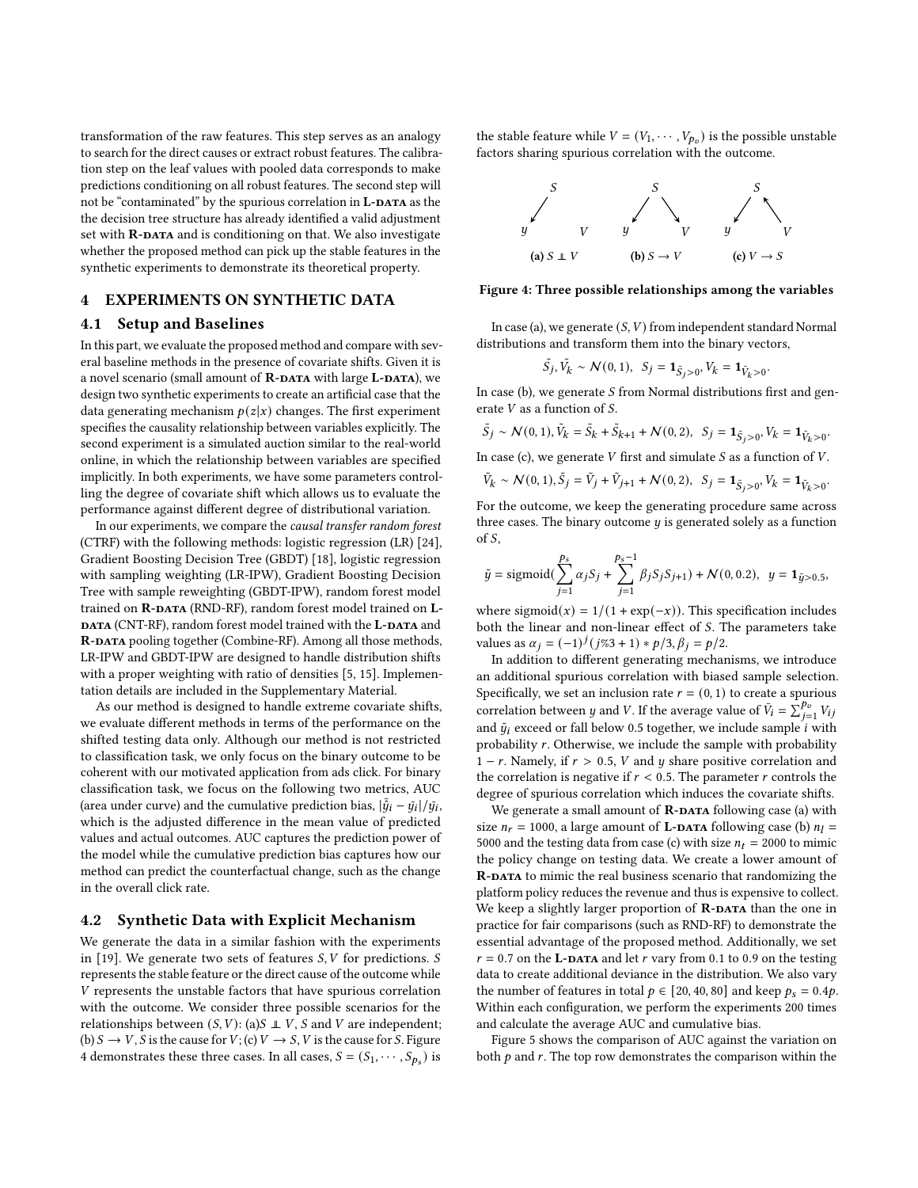transformation of the raw features. This step serves as an analogy to search for the direct causes or extract robust features. The calibration step on the leaf values with pooled data corresponds to make predictions conditioning on all robust features. The second step will not be "contaminated" by the spurious correlation in **L-DATA** as the the decision tree structure has already identified a valid adjustment set with R-DATA and is conditioning on that. We also investigate whether the proposed method can pick up the stable features in the synthetic experiments to demonstrate its theoretical property.

## 4 EXPERIMENTS ON SYNTHETIC DATA

#### 4.1 Setup and Baselines

In this part, we evaluate the proposed method and compare with several baseline methods in the presence of covariate shifts. Given it is a novel scenario (small amount of R-DATA with large L-DATA), we design two synthetic experiments to create an artificial case that the data generating mechanism  $p(z|x)$  changes. The first experiment specifies the causality relationship between variables explicitly. The second experiment is a simulated auction similar to the real-world online, in which the relationship between variables are specified implicitly. In both experiments, we have some parameters controlling the degree of covariate shift which allows us to evaluate the performance against different degree of distributional variation.

In our experiments, we compare the causal transfer random forest (CTRF) with the following methods: logistic regression (LR) [\[24\]](#page-8-33), Gradient Boosting Decision Tree (GBDT) [\[18\]](#page-8-34), logistic regression with sampling weighting (LR-IPW), Gradient Boosting Decision Tree with sample reweighting (GBDT-IPW), random forest model trained on R-DATA (RND-RF), random forest model trained on L-DATA (CNT-RF), random forest model trained with the L-DATA and R-DATA pooling together (Combine-RF). Among all those methods, LR-IPW and GBDT-IPW are designed to handle distribution shifts with a proper weighting with ratio of densities [\[5,](#page-8-16) [15\]](#page-8-17). Implementation details are included in the Supplementary Material.

As our method is designed to handle extreme covariate shifts, we evaluate different methods in terms of the performance on the shifted testing data only. Although our method is not restricted to classification task, we only focus on the binary outcome to be coherent with our motivated application from ads click. For binary classification task, we focus on the following two metrics, AUC (area under curve) and the cumulative prediction bias,  $|\bar{\hat{q}}_i - \bar{q}_i|/\bar{q}_i$ , which is the adjusted difference in the mean value of predicted values and actual outcomes. AUC captures the prediction power of the model while the cumulative prediction bias captures how our method can predict the counterfactual change, such as the change in the overall click rate.

#### 4.2 Synthetic Data with Explicit Mechanism

We generate the data in a similar fashion with the experiments in [\[19\]](#page-8-23). We generate two sets of features  $S, V$  for predictions. S represents the stable feature or the direct cause of the outcome while V represents the unstable factors that have spurious correlation with the outcome. We consider three possible scenarios for the relationships between  $(S, V)$ : (a)  $\perp V$ ,  $S$  and  $V$  are independent; (b)  $S \rightarrow V$ , S is the cause for  $V$ ; (c)  $V \rightarrow S$ , V is the cause for S. Figure [4](#page-4-0) demonstrates these three cases. In all cases,  $S = (S_1, \dots, S_{p_s})$  is

the stable feature while  $V = (V_1, \dots, V_{p_v})$  is the possible unstable factors sharing spurious correlation with the outcome.

<span id="page-4-0"></span>

#### Figure 4: Three possible relationships among the variables

In case (a), we generate  $(S, V)$  from independent standard Normal distributions and transform them into the binary vectors,

$$
\tilde{S}_j
$$
,  $\tilde{V}_k \sim \mathcal{N}(0, 1)$ ,  $S_j = \mathbf{1}_{\tilde{S}_j > 0}$ ,  $V_k = \mathbf{1}_{\tilde{V}_k > 0}$ .

In case (b), we generate  $S$  from Normal distributions first and generate  $V$  as a function of  $S$ .

$$
\tilde{S}_j \sim \mathcal{N}(0, 1), \tilde{V}_k = \tilde{S}_k + \tilde{S}_{k+1} + \mathcal{N}(0, 2), \ \ S_j = \mathbf{1}_{\tilde{S}_j > 0}, V_k = \mathbf{1}_{\tilde{V}_k > 0}.
$$

In case (c), we generate  $V$  first and simulate  $S$  as a function of  $V$ .

$$
\tilde{V}_k \sim \mathcal{N}(0, 1), \tilde{S}_j = \tilde{V}_j + \tilde{V}_{j+1} + \mathcal{N}(0, 2), \ \ S_j = \mathbf{1}_{\tilde{S}_j > 0}, V_k = \mathbf{1}_{\tilde{V}_k > 0}
$$

.

For the outcome, we keep the generating procedure same across three cases. The binary outcome  $y$  is generated solely as a function of  $S$ ,

$$
\tilde{y} = \text{sigmoid}(\sum_{j=1}^{p_s} \alpha_j S_j + \sum_{j=1}^{p_s-1} \beta_j S_j S_{j+1}) + \mathcal{N}(0, 0.2), \ \ y = \mathbf{1}_{\tilde{y} > 0.5},
$$

where sigmoid(x) =  $1/(1 + \exp(-x))$ . This specification includes both the linear and non-linear effect of  $S$ . The parameters take values as  $\alpha_j = (-1)^j (j\%3 + 1) * p/3$ ,  $\beta_j = p/2$ .

In addition to different generating mechanisms, we introduce an additional spurious correlation with biased sample selection. Specifically, we set an inclusion rate  $r = (0, 1)$  to create a spurious correlation between *y* and *V*. If the average value of  $\overline{V}_i = \sum_{j=1}^{p_v} V_{ij}$ and  $\tilde{y}_i$  exceed or fall below 0.5 together, we include sample *i* with probability  $r$ . Otherwise, we include the sample with probability 1 – r. Namely, if  $r > 0.5$ , V and y share positive correlation and the correlation is negative if  $r < 0.5$ . The parameter  $r$  controls the degree of spurious correlation which induces the covariate shifts.

We generate a small amount of  $\mathbf{R}\text{-}\mathbf{D}\mathbf{A}\mathbf{T}\mathbf{A}$  following case (a) with size  $n_r = 1000$ , a large amount of **L-DATA** following case (b)  $n_l =$ 5000 and the testing data from case (c) with size  $n_t = 2000$  to mimic the policy change on testing data. We create a lower amount of R-DATA to mimic the real business scenario that randomizing the platform policy reduces the revenue and thus is expensive to collect. We keep a slightly larger proportion of  $R$ -DATA than the one in practice for fair comparisons (such as RND-RF) to demonstrate the essential advantage of the proposed method. Additionally, we set  $r = 0.7$  on the **L-DATA** and let  $r$  vary from 0.1 to 0.9 on the testing data to create additional deviance in the distribution. We also vary the number of features in total  $p \in [20, 40, 80]$  and keep  $p_s = 0.4p$ . Within each configuration, we perform the experiments 200 times and calculate the average AUC and cumulative bias.

Figure [5](#page-5-0) shows the comparison of AUC against the variation on both  $p$  and  $r$ . The top row demonstrates the comparison within the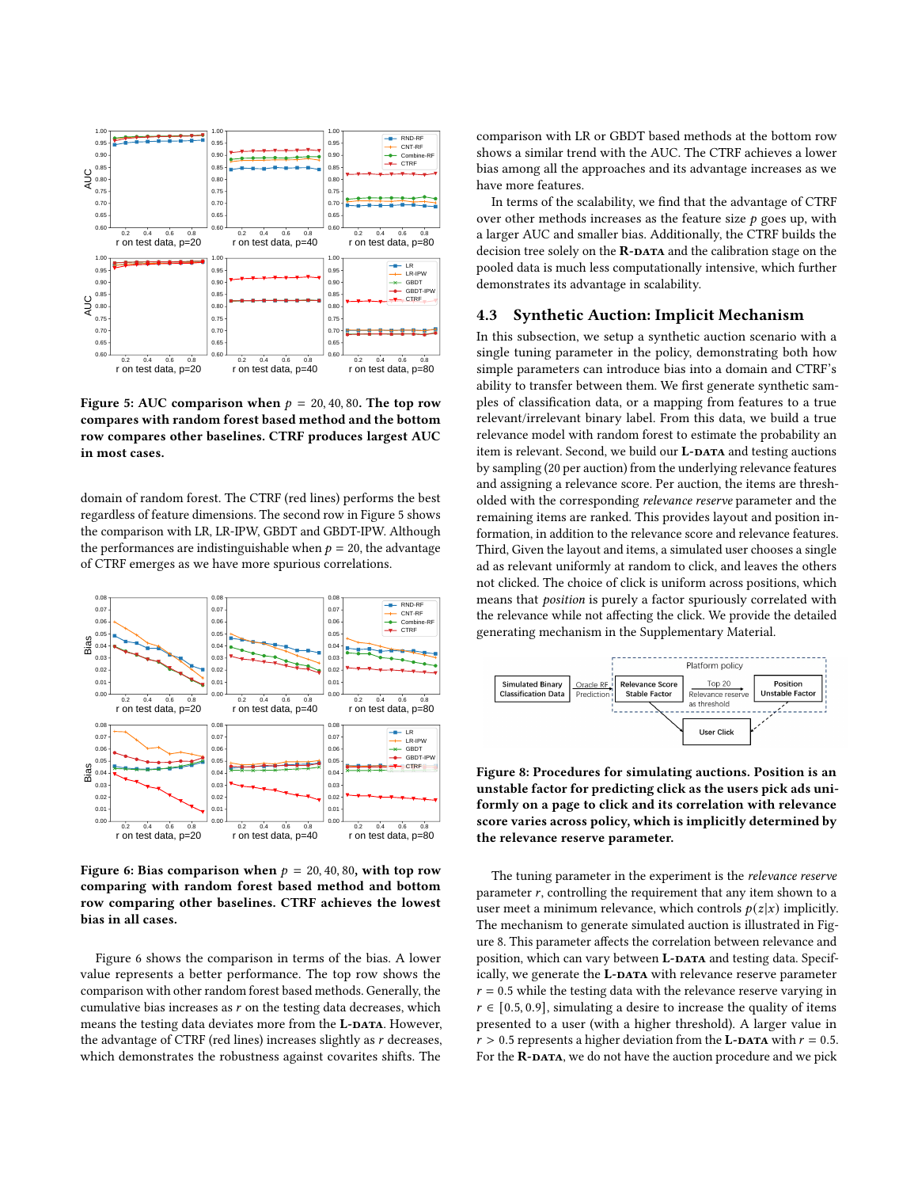<span id="page-5-0"></span>

Figure 5: AUC comparison when  $p = 20, 40, 80$ . The top row compares with random forest based method and the bottom row compares other baselines. CTRF produces largest AUC in most cases.

domain of random forest. The CTRF (red lines) performs the best regardless of feature dimensions. The second row in Figure [5](#page-5-0) shows the comparison with LR, LR-IPW, GBDT and GBDT-IPW. Although the performances are indistinguishable when  $p = 20$ , the advantage of CTRF emerges as we have more spurious correlations.

<span id="page-5-1"></span>

Figure 6: Bias comparison when  $p = 20, 40, 80$ , with top row comparing with random forest based method and bottom row comparing other baselines. CTRF achieves the lowest bias in all cases.

Figure [6](#page-5-1) shows the comparison in terms of the bias. A lower value represents a better performance. The top row shows the comparison with other random forest based methods. Generally, the cumulative bias increases as  $r$  on the testing data decreases, which means the testing data deviates more from the L-DATA. However, the advantage of CTRF (red lines) increases slightly as  $r$  decreases, which demonstrates the robustness against covarites shifts. The

comparison with LR or GBDT based methods at the bottom row shows a similar trend with the AUC. The CTRF achieves a lower bias among all the approaches and its advantage increases as we have more features.

In terms of the scalability, we find that the advantage of CTRF over other methods increases as the feature size  $p$  goes up, with a larger AUC and smaller bias. Additionally, the CTRF builds the decision tree solely on the  $R$ -DATA and the calibration stage on the pooled data is much less computationally intensive, which further demonstrates its advantage in scalability.

#### 4.3 Synthetic Auction: Implicit Mechanism

In this subsection, we setup a synthetic auction scenario with a single tuning parameter in the policy, demonstrating both how simple parameters can introduce bias into a domain and CTRF's ability to transfer between them. We first generate synthetic samples of classification data, or a mapping from features to a true relevant/irrelevant binary label. From this data, we build a true relevance model with random forest to estimate the probability an item is relevant. Second, we build our L-DATA and testing auctions by sampling (20 per auction) from the underlying relevance features and assigning a relevance score. Per auction, the items are thresholded with the corresponding relevance reserve parameter and the remaining items are ranked. This provides layout and position information, in addition to the relevance score and relevance features. Third, Given the layout and items, a simulated user chooses a single ad as relevant uniformly at random to click, and leaves the others not clicked. The choice of click is uniform across positions, which means that position is purely a factor spuriously correlated with the relevance while not affecting the click. We provide the detailed generating mechanism in the Supplementary Material.

<span id="page-5-2"></span>

Figure 8: Procedures for simulating auctions. Position is an unstable factor for predicting click as the users pick ads uniformly on a page to click and its correlation with relevance score varies across policy, which is implicitly determined by the relevance reserve parameter.

The tuning parameter in the experiment is the relevance reserve parameter  $r$ , controlling the requirement that any item shown to a user meet a minimum relevance, which controls  $p(z|x)$  implicitly. The mechanism to generate simulated auction is illustrated in Figure [8.](#page-5-2) This parameter affects the correlation between relevance and position, which can vary between L-DATA and testing data. Specifically, we generate the L-DATA with relevance reserve parameter  $r = 0.5$  while the testing data with the relevance reserve varying in  $r \in [0.5, 0.9]$ , simulating a desire to increase the quality of items presented to a user (with a higher threshold). A larger value in  $r > 0.5$  represents a higher deviation from the **L-DATA** with  $r = 0.5$ . For the R-DATA, we do not have the auction procedure and we pick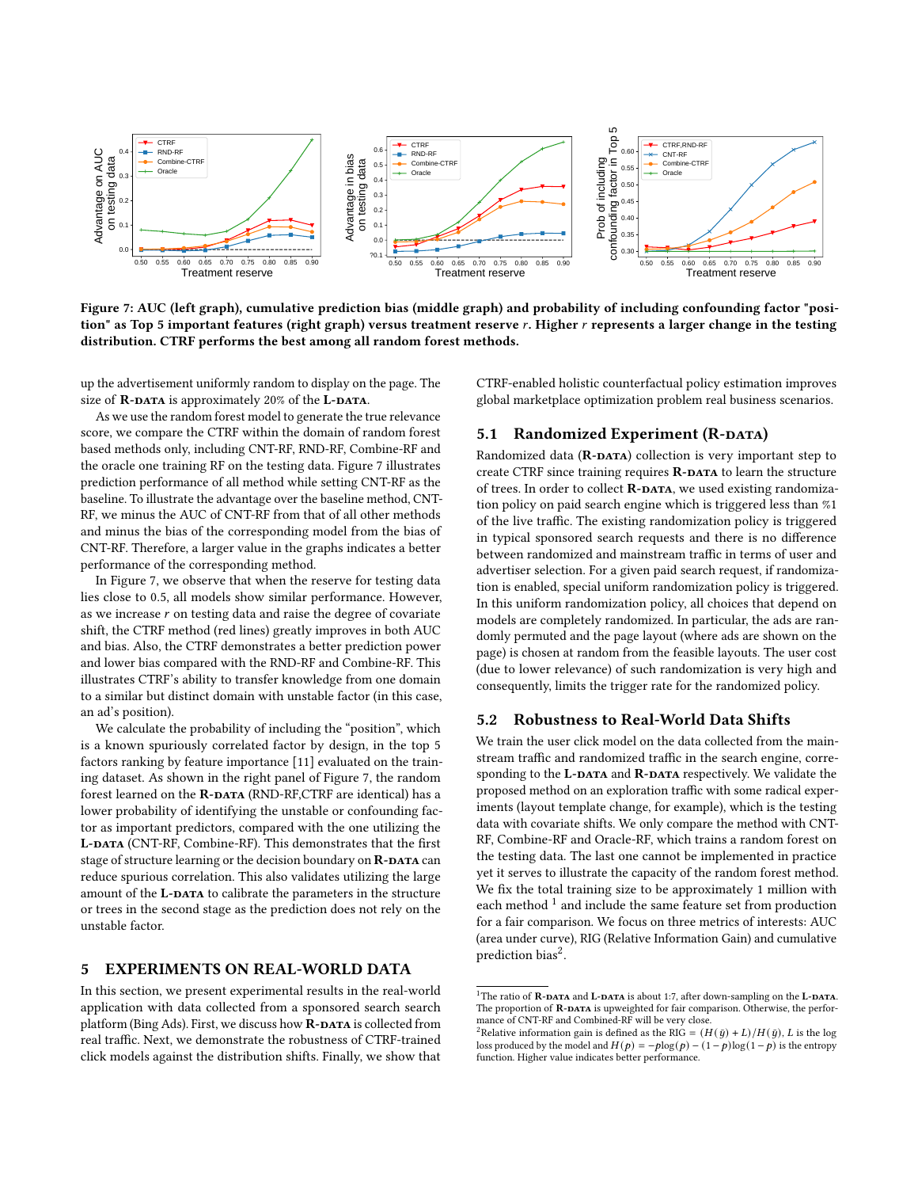<span id="page-6-0"></span>

Figure 7: AUC (left graph), cumulative prediction bias (middle graph) and probability of including confounding factor "position" as Top 5 important features (right graph) versus treatment reserve r. Higher r represents a larger change in the testing distribution. CTRF performs the best among all random forest methods.

up the advertisement uniformly random to display on the page. The size of  $\mathbb{R}\text{-}\mathbf{DATA}$  is approximately 20% of the L-DATA.

As we use the random forest model to generate the true relevance score, we compare the CTRF within the domain of random forest based methods only, including CNT-RF, RND-RF, Combine-RF and the oracle one training RF on the testing data. Figure [7](#page-6-0) illustrates prediction performance of all method while setting CNT-RF as the baseline. To illustrate the advantage over the baseline method, CNT-RF, we minus the AUC of CNT-RF from that of all other methods and minus the bias of the corresponding model from the bias of CNT-RF. Therefore, a larger value in the graphs indicates a better performance of the corresponding method.

In Figure [7,](#page-6-0) we observe that when the reserve for testing data lies close to 0.5, all models show similar performance. However, as we increase  $r$  on testing data and raise the degree of covariate shift, the CTRF method (red lines) greatly improves in both AUC and bias. Also, the CTRF demonstrates a better prediction power and lower bias compared with the RND-RF and Combine-RF. This illustrates CTRF's ability to transfer knowledge from one domain to a similar but distinct domain with unstable factor (in this case, an ad's position).

We calculate the probability of including the "position", which is a known spuriously correlated factor by design, in the top 5 factors ranking by feature importance [\[11\]](#page-8-35) evaluated on the training dataset. As shown in the right panel of Figure [7,](#page-6-0) the random forest learned on the R-DATA (RND-RF,CTRF are identical) has a lower probability of identifying the unstable or confounding factor as important predictors, compared with the one utilizing the L-DATA (CNT-RF, Combine-RF). This demonstrates that the first stage of structure learning or the decision boundary on R-DATA can reduce spurious correlation. This also validates utilizing the large amount of the L-DATA to calibrate the parameters in the structure or trees in the second stage as the prediction does not rely on the unstable factor.

# 5 EXPERIMENTS ON REAL-WORLD DATA

In this section, we present experimental results in the real-world application with data collected from a sponsored search search platform (Bing Ads). First, we discuss how  $\mathbf{R}\text{-}\mathbf{DATA}$  is collected from real traffic. Next, we demonstrate the robustness of CTRF-trained click models against the distribution shifts. Finally, we show that CTRF-enabled holistic counterfactual policy estimation improves global marketplace optimization problem real business scenarios.

# 5.1 Randomized Experiment (R-DATA)

Randomized data  $(R$ -DATA) collection is very important step to create CTRF since training requires R-DATA to learn the structure of trees. In order to collect R-DATA, we used existing randomization policy on paid search engine which is triggered less than %1 of the live traffic. The existing randomization policy is triggered in typical sponsored search requests and there is no difference between randomized and mainstream traffic in terms of user and advertiser selection. For a given paid search request, if randomization is enabled, special uniform randomization policy is triggered. In this uniform randomization policy, all choices that depend on models are completely randomized. In particular, the ads are randomly permuted and the page layout (where ads are shown on the page) is chosen at random from the feasible layouts. The user cost (due to lower relevance) of such randomization is very high and consequently, limits the trigger rate for the randomized policy.

# 5.2 Robustness to Real-World Data Shifts

We train the user click model on the data collected from the mainstream traffic and randomized traffic in the search engine, corresponding to the L-DATA and R-DATA respectively. We validate the proposed method on an exploration traffic with some radical experiments (layout template change, for example), which is the testing data with covariate shifts. We only compare the method with CNT-RF, Combine-RF and Oracle-RF, which trains a random forest on the testing data. The last one cannot be implemented in practice yet it serves to illustrate the capacity of the random forest method. We fix the total training size to be approximately 1 million with each method  $\frac{1}{1}$  $\frac{1}{1}$  $\frac{1}{1}$  and include the same feature set from production for a fair comparison. We focus on three metrics of interests: AUC (area under curve), RIG (Relative Information Gain) and cumulative  $\rm _{prediction~bias^2.}$  $\rm _{prediction~bias^2.}$  $\rm _{prediction~bias^2.}$ 

<span id="page-6-1"></span> $^1\rm{The}$  ratio of  $\bf{R}\text{-}$   $\bf{DATA}$  and  $\bf{L}\text{-}$   $\bf{DATA}$  is about 1:7, after down-sampling on the  $\bf{L}\text{-}$   $\bf{DATA}$ . The proportion of R-DATA is upweighted for fair comparison. Otherwise, the performance of CNT-RF and Combined-RF will be very close.

<span id="page-6-2"></span><sup>&</sup>lt;sup>2</sup>Relative information gain is defined as the RIG =  $(H(\bar{q}) + L)/H(\bar{q})$ , *L* is the log loss produced by the model and  $H(p) = -p\log(p) - (1-p)\log(1-p)$  is the entropy function. Higher value indicates better performance.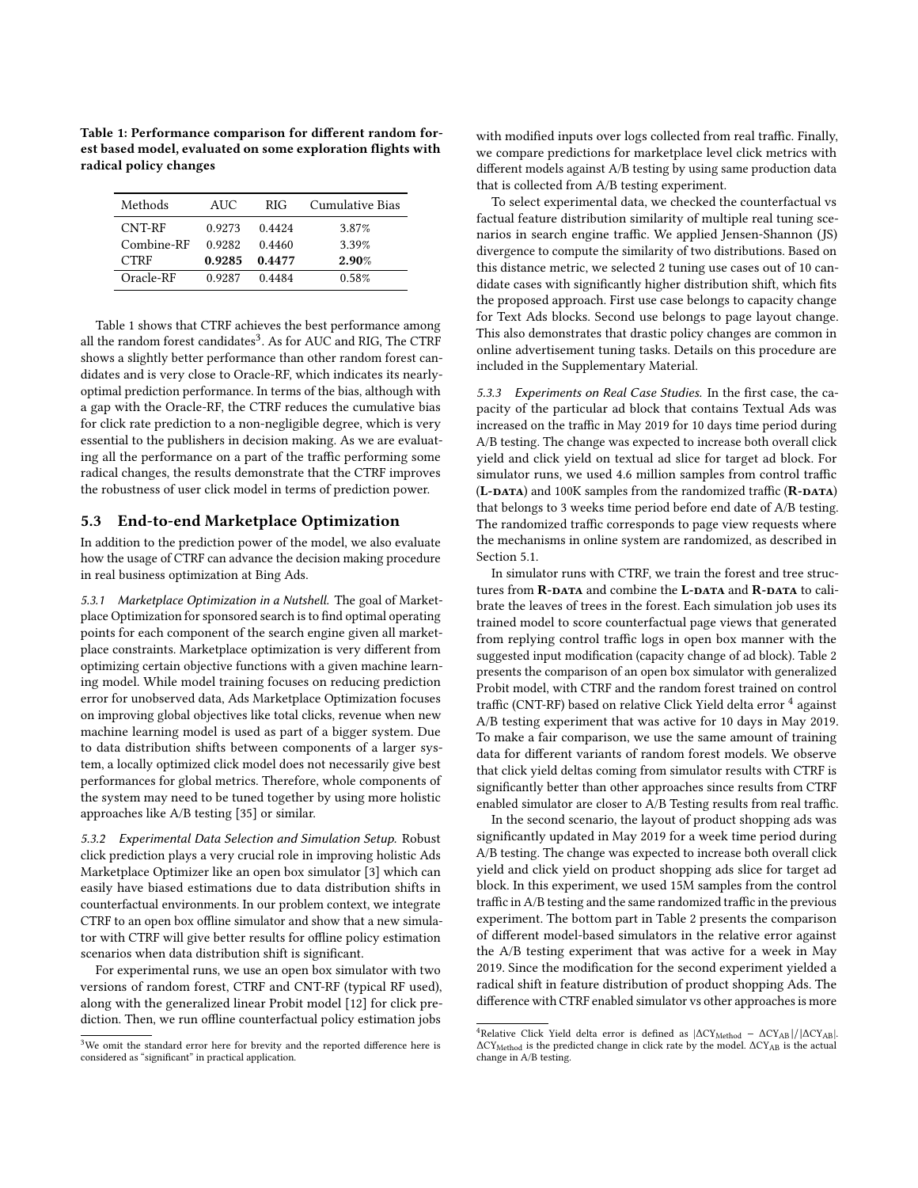<span id="page-7-0"></span>Table 1: Performance comparison for different random forest based model, evaluated on some exploration flights with radical policy changes

| Methods       | AUC.   | RIG.   | Cumulative Bias |
|---------------|--------|--------|-----------------|
| CNT-RF        | 0.9273 | 0.4424 | 3.87%           |
| $Combin$ e-RF | 0.9282 | 0.4460 | 3.39%           |
| <b>CTRF</b>   | 0.9285 | 0.4477 | 2.90%           |
| Oracle-RF     | 0.9287 | 0.4484 | 0.58%           |

Table [1](#page-7-0) shows that CTRF achieves the best performance among all the random forest candidates<sup>[3](#page-7-1)</sup>. As for AUC and RIG, The CTRF shows a slightly better performance than other random forest candidates and is very close to Oracle-RF, which indicates its nearlyoptimal prediction performance. In terms of the bias, although with a gap with the Oracle-RF, the CTRF reduces the cumulative bias for click rate prediction to a non-negligible degree, which is very essential to the publishers in decision making. As we are evaluating all the performance on a part of the traffic performing some radical changes, the results demonstrate that the CTRF improves the robustness of user click model in terms of prediction power.

## 5.3 End-to-end Marketplace Optimization

In addition to the prediction power of the model, we also evaluate how the usage of CTRF can advance the decision making procedure in real business optimization at Bing Ads.

5.3.1 Marketplace Optimization in a Nutshell. The goal of Marketplace Optimization for sponsored search is to find optimal operating points for each component of the search engine given all marketplace constraints. Marketplace optimization is very different from optimizing certain objective functions with a given machine learning model. While model training focuses on reducing prediction error for unobserved data, Ads Marketplace Optimization focuses on improving global objectives like total clicks, revenue when new machine learning model is used as part of a bigger system. Due to data distribution shifts between components of a larger system, a locally optimized click model does not necessarily give best performances for global metrics. Therefore, whole components of the system may need to be tuned together by using more holistic approaches like A/B testing [\[35\]](#page-8-15) or similar.

5.3.2 Experimental Data Selection and Simulation Setup. Robust click prediction plays a very crucial role in improving holistic Ads Marketplace Optimizer like an open box simulator [\[3\]](#page-8-2) which can easily have biased estimations due to data distribution shifts in counterfactual environments. In our problem context, we integrate CTRF to an open box offline simulator and show that a new simulator with CTRF will give better results for offline policy estimation scenarios when data distribution shift is significant.

For experimental runs, we use an open box simulator with two versions of random forest, CTRF and CNT-RF (typical RF used), along with the generalized linear Probit model [\[12\]](#page-8-36) for click prediction. Then, we run offline counterfactual policy estimation jobs

with modified inputs over logs collected from real traffic. Finally, we compare predictions for marketplace level click metrics with different models against A/B testing by using same production data that is collected from A/B testing experiment.

To select experimental data, we checked the counterfactual vs factual feature distribution similarity of multiple real tuning scenarios in search engine traffic. We applied Jensen-Shannon (JS) divergence to compute the similarity of two distributions. Based on this distance metric, we selected 2 tuning use cases out of 10 candidate cases with significantly higher distribution shift, which fits the proposed approach. First use case belongs to capacity change for Text Ads blocks. Second use belongs to page layout change. This also demonstrates that drastic policy changes are common in online advertisement tuning tasks. Details on this procedure are included in the Supplementary Material.

5.3.3 Experiments on Real Case Studies. In the first case, the capacity of the particular ad block that contains Textual Ads was increased on the traffic in May 2019 for 10 days time period during A/B testing. The change was expected to increase both overall click yield and click yield on textual ad slice for target ad block. For simulator runs, we used 4.6 million samples from control traffic  $(L$ -DATA) and 100K samples from the randomized traffic  $(R$ -DATA) that belongs to 3 weeks time period before end date of A/B testing. The randomized traffic corresponds to page view requests where the mechanisms in online system are randomized, as described in Section 5.1.

In simulator runs with CTRF, we train the forest and tree structures from R-DATA and combine the L-DATA and R-DATA to calibrate the leaves of trees in the forest. Each simulation job uses its trained model to score counterfactual page views that generated from replying control traffic logs in open box manner with the suggested input modification (capacity change of ad block). Table [2](#page-8-37) presents the comparison of an open box simulator with generalized Probit model, with CTRF and the random forest trained on control traffic (CNT-RF) based on relative Click Yield delta error  $4$  against A/B testing experiment that was active for 10 days in May 2019. To make a fair comparison, we use the same amount of training data for different variants of random forest models. We observe that click yield deltas coming from simulator results with CTRF is significantly better than other approaches since results from CTRF enabled simulator are closer to A/B Testing results from real traffic.

In the second scenario, the layout of product shopping ads was significantly updated in May 2019 for a week time period during A/B testing. The change was expected to increase both overall click yield and click yield on product shopping ads slice for target ad block. In this experiment, we used 15M samples from the control traffic in A/B testing and the same randomized traffic in the previous experiment. The bottom part in Table [2](#page-8-37) presents the comparison of different model-based simulators in the relative error against the A/B testing experiment that was active for a week in May 2019. Since the modification for the second experiment yielded a radical shift in feature distribution of product shopping Ads. The difference with CTRF enabled simulator vs other approaches is more

<span id="page-7-1"></span><sup>&</sup>lt;sup>3</sup>We omit the standard error here for brevity and the reported difference here is considered as "significant" in practical application.

<span id="page-7-2"></span><sup>&</sup>lt;sup>4</sup>Relative Click Yield delta error is defined as  $|\Delta CY_{Method} - \Delta CY_{AB}|/|\Delta CY_{AB}|$ . ΔCY<sub>Method</sub> is the predicted change in click rate by the model. ΔCY<sub>AB</sub> is the actual change in A/B testing.